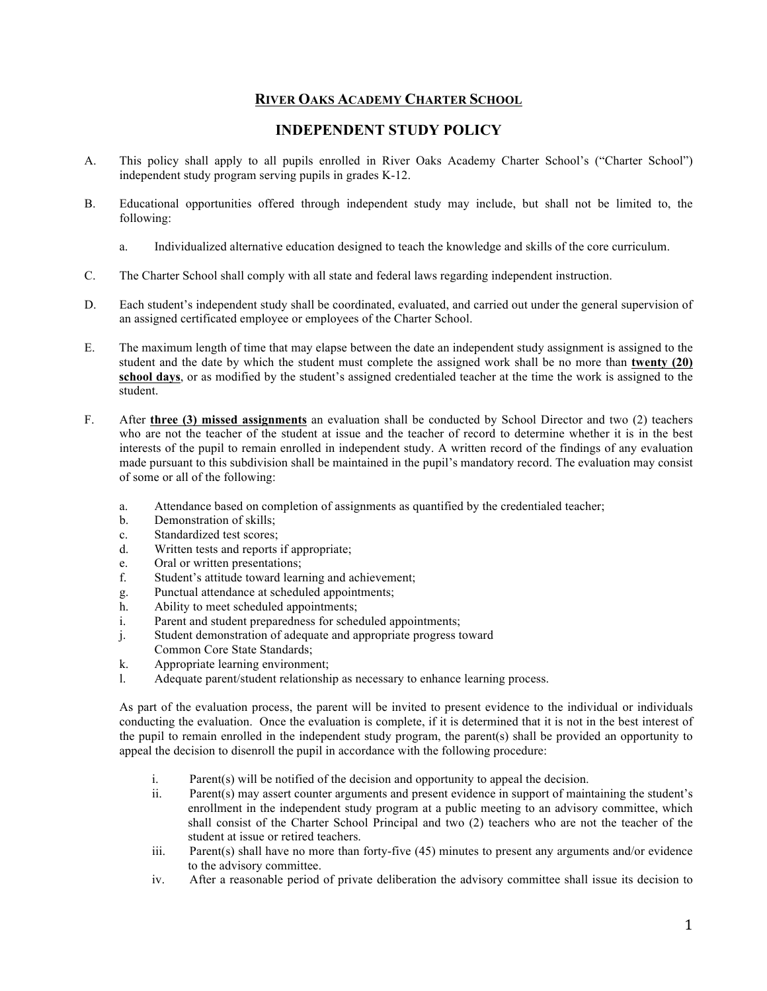## **RIVER OAKS ACADEMY CHARTER SCHOOL**

## **INDEPENDENT STUDY POLICY**

- A. This policy shall apply to all pupils enrolled in River Oaks Academy Charter School's ("Charter School") independent study program serving pupils in grades K-12.
- B. Educational opportunities offered through independent study may include, but shall not be limited to, the following:
	- a. Individualized alternative education designed to teach the knowledge and skills of the core curriculum.
- C. The Charter School shall comply with all state and federal laws regarding independent instruction.
- D. Each student's independent study shall be coordinated, evaluated, and carried out under the general supervision of an assigned certificated employee or employees of the Charter School.
- E. The maximum length of time that may elapse between the date an independent study assignment is assigned to the student and the date by which the student must complete the assigned work shall be no more than **twenty (20) school days**, or as modified by the student's assigned credentialed teacher at the time the work is assigned to the student.
- F. After **three (3) missed assignments** an evaluation shall be conducted by School Director and two (2) teachers who are not the teacher of the student at issue and the teacher of record to determine whether it is in the best interests of the pupil to remain enrolled in independent study. A written record of the findings of any evaluation made pursuant to this subdivision shall be maintained in the pupil's mandatory record. The evaluation may consist of some or all of the following:
	- a. Attendance based on completion of assignments as quantified by the credentialed teacher;
	- b. Demonstration of skills;
	- c. Standardized test scores;
	- d. Written tests and reports if appropriate;
	- e. Oral or written presentations;
	- f. Student's attitude toward learning and achievement;
	- g. Punctual attendance at scheduled appointments;
	- h. Ability to meet scheduled appointments;
	- i. Parent and student preparedness for scheduled appointments;
	- j. Student demonstration of adequate and appropriate progress toward
	- Common Core State Standards;
	- k. Appropriate learning environment;
	- l. Adequate parent/student relationship as necessary to enhance learning process.

As part of the evaluation process, the parent will be invited to present evidence to the individual or individuals conducting the evaluation. Once the evaluation is complete, if it is determined that it is not in the best interest of the pupil to remain enrolled in the independent study program, the parent(s) shall be provided an opportunity to appeal the decision to disenroll the pupil in accordance with the following procedure:

- i. Parent(s) will be notified of the decision and opportunity to appeal the decision.
- ii. Parent(s) may assert counter arguments and present evidence in support of maintaining the student's enrollment in the independent study program at a public meeting to an advisory committee, which shall consist of the Charter School Principal and two (2) teachers who are not the teacher of the student at issue or retired teachers.
- iii. Parent(s) shall have no more than forty-five (45) minutes to present any arguments and/or evidence to the advisory committee.
- iv. After a reasonable period of private deliberation the advisory committee shall issue its decision to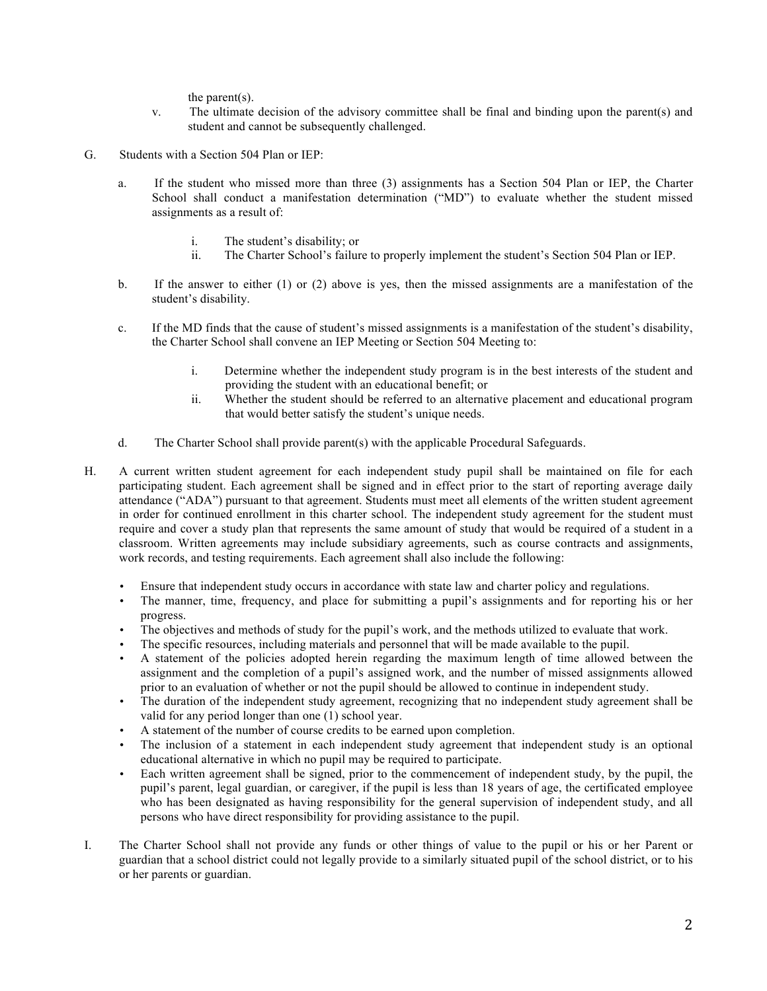the parent(s).

- v. The ultimate decision of the advisory committee shall be final and binding upon the parent(s) and student and cannot be subsequently challenged.
- G. Students with a Section 504 Plan or IEP:
	- a. If the student who missed more than three (3) assignments has a Section 504 Plan or IEP, the Charter School shall conduct a manifestation determination ("MD") to evaluate whether the student missed assignments as a result of:
		- i. The student's disability; or
		- ii. The Charter School's failure to properly implement the student's Section 504 Plan or IEP.
	- b. If the answer to either (1) or (2) above is yes, then the missed assignments are a manifestation of the student's disability.
	- c. If the MD finds that the cause of student's missed assignments is a manifestation of the student's disability, the Charter School shall convene an IEP Meeting or Section 504 Meeting to:
		- i. Determine whether the independent study program is in the best interests of the student and providing the student with an educational benefit; or
		- ii. Whether the student should be referred to an alternative placement and educational program that would better satisfy the student's unique needs.
	- d. The Charter School shall provide parent(s) with the applicable Procedural Safeguards.
- H. A current written student agreement for each independent study pupil shall be maintained on file for each participating student. Each agreement shall be signed and in effect prior to the start of reporting average daily attendance ("ADA") pursuant to that agreement. Students must meet all elements of the written student agreement in order for continued enrollment in this charter school. The independent study agreement for the student must require and cover a study plan that represents the same amount of study that would be required of a student in a classroom. Written agreements may include subsidiary agreements, such as course contracts and assignments, work records, and testing requirements. Each agreement shall also include the following:
	- Ensure that independent study occurs in accordance with state law and charter policy and regulations.
	- The manner, time, frequency, and place for submitting a pupil's assignments and for reporting his or her progress.
	- The objectives and methods of study for the pupil's work, and the methods utilized to evaluate that work.
	- The specific resources, including materials and personnel that will be made available to the pupil.
	- A statement of the policies adopted herein regarding the maximum length of time allowed between the assignment and the completion of a pupil's assigned work, and the number of missed assignments allowed prior to an evaluation of whether or not the pupil should be allowed to continue in independent study.
	- The duration of the independent study agreement, recognizing that no independent study agreement shall be valid for any period longer than one (1) school year.
	- A statement of the number of course credits to be earned upon completion.
	- The inclusion of a statement in each independent study agreement that independent study is an optional educational alternative in which no pupil may be required to participate.
	- Each written agreement shall be signed, prior to the commencement of independent study, by the pupil, the pupil's parent, legal guardian, or caregiver, if the pupil is less than 18 years of age, the certificated employee who has been designated as having responsibility for the general supervision of independent study, and all persons who have direct responsibility for providing assistance to the pupil.
- I. The Charter School shall not provide any funds or other things of value to the pupil or his or her Parent or guardian that a school district could not legally provide to a similarly situated pupil of the school district, or to his or her parents or guardian.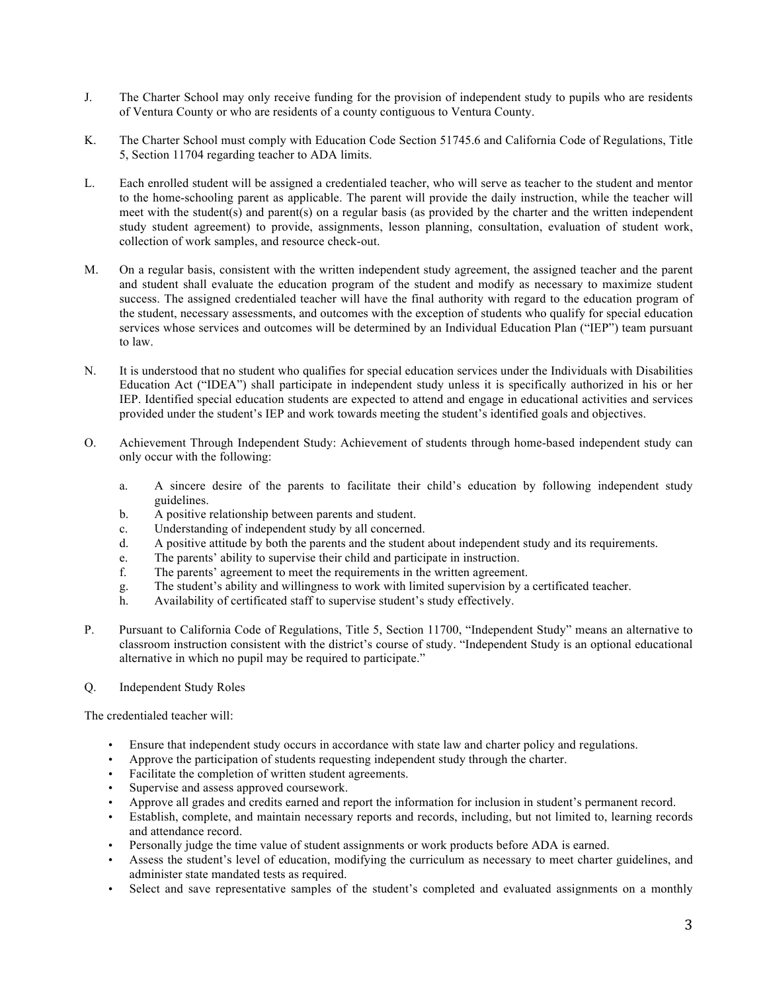- J. The Charter School may only receive funding for the provision of independent study to pupils who are residents of Ventura County or who are residents of a county contiguous to Ventura County.
- K. The Charter School must comply with Education Code Section 51745.6 and California Code of Regulations, Title 5, Section 11704 regarding teacher to ADA limits.
- L. Each enrolled student will be assigned a credentialed teacher, who will serve as teacher to the student and mentor to the home-schooling parent as applicable. The parent will provide the daily instruction, while the teacher will meet with the student(s) and parent(s) on a regular basis (as provided by the charter and the written independent study student agreement) to provide, assignments, lesson planning, consultation, evaluation of student work, collection of work samples, and resource check-out.
- M. On a regular basis, consistent with the written independent study agreement, the assigned teacher and the parent and student shall evaluate the education program of the student and modify as necessary to maximize student success. The assigned credentialed teacher will have the final authority with regard to the education program of the student, necessary assessments, and outcomes with the exception of students who qualify for special education services whose services and outcomes will be determined by an Individual Education Plan ("IEP") team pursuant to law.
- N. It is understood that no student who qualifies for special education services under the Individuals with Disabilities Education Act ("IDEA") shall participate in independent study unless it is specifically authorized in his or her IEP. Identified special education students are expected to attend and engage in educational activities and services provided under the student's IEP and work towards meeting the student's identified goals and objectives.
- O. Achievement Through Independent Study: Achievement of students through home-based independent study can only occur with the following:
	- a. A sincere desire of the parents to facilitate their child's education by following independent study guidelines.
	- b. A positive relationship between parents and student.
	- c. Understanding of independent study by all concerned.
	- d. A positive attitude by both the parents and the student about independent study and its requirements.
	- e. The parents' ability to supervise their child and participate in instruction.
	- f. The parents' agreement to meet the requirements in the written agreement.
	- g. The student's ability and willingness to work with limited supervision by a certificated teacher.
	- h. Availability of certificated staff to supervise student's study effectively.
- P. Pursuant to California Code of Regulations, Title 5, Section 11700, "Independent Study" means an alternative to classroom instruction consistent with the district's course of study. "Independent Study is an optional educational alternative in which no pupil may be required to participate."
- Q. Independent Study Roles

The credentialed teacher will:

- Ensure that independent study occurs in accordance with state law and charter policy and regulations.
- Approve the participation of students requesting independent study through the charter.
- Facilitate the completion of written student agreements.
- Supervise and assess approved coursework.
- Approve all grades and credits earned and report the information for inclusion in student's permanent record.
- Establish, complete, and maintain necessary reports and records, including, but not limited to, learning records and attendance record.
- Personally judge the time value of student assignments or work products before ADA is earned.
- Assess the student's level of education, modifying the curriculum as necessary to meet charter guidelines, and administer state mandated tests as required.
- Select and save representative samples of the student's completed and evaluated assignments on a monthly